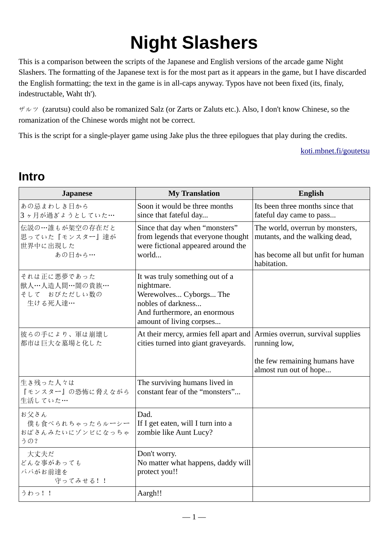# **Night Slashers**

This is a comparison between the scripts of the Japanese and English versions of the arcade game Night Slashers. The formatting of the Japanese text is for the most part as it appears in the game, but I have discarded the English formatting; the text in the game is in all-caps anyway. Typos have not been fixed (its, finaly, indestructable, Waht th').

ザルツ (zarutsu) could also be romanized Salz (or Zarts or Zaluts etc.). Also, I don't know Chinese, so the romanization of the Chinese words might not be correct.

This is the script for a single-player game using Jake plus the three epilogues that play during the credits.

[koti.mbnet.fi/goutetsu](http://koti.mbnet.fi/goutetsu/)

#### **Intro**

| <b>Japanese</b>                                         | <b>My Translation</b>                                                                                                                                     | English                                                                                                                |
|---------------------------------------------------------|-----------------------------------------------------------------------------------------------------------------------------------------------------------|------------------------------------------------------------------------------------------------------------------------|
| あの忌まわしき日から<br>3ヶ月が過ぎょうとしていた…                            | Soon it would be three months<br>since that fateful day                                                                                                   | Its been three months since that<br>fateful day came to pass                                                           |
| 伝説の…誰もが架空の存在だと<br>思っていた『モンスター』達が<br>世界中に出現した<br>あの日から…  | Since that day when "monsters"<br>from legends that everyone thought<br>were fictional appeared around the<br>world                                       | The world, overrun by monsters,<br>mutants, and the walking dead,<br>has become all but unfit for human<br>habitation. |
| それは正に悪夢であった<br>獣人…人造人間…闇の貴族…<br>そして おびただしい数の<br>生ける死人達… | It was truly something out of a<br>nightmare.<br>Werewolves Cyborgs The<br>nobles of darkness<br>And furthermore, an enormous<br>amount of living corpses |                                                                                                                        |
| 彼らの手により、軍は崩壊し<br>都市は巨大な墓場と化した                           | At their mercy, armies fell apart and Armies overrun, survival supplies<br>cities turned into giant graveyards.                                           | running low,<br>the few remaining humans have<br>almost run out of hope                                                |
| 生き残った人々は<br>『モンスター』の恐怖に脅えながら<br>生活していた…                 | The surviving humans lived in<br>constant fear of the "monsters"                                                                                          |                                                                                                                        |
| お父さん<br>僕も食べられちゃったらルーシー<br>おばさんみたいにゾンビになっちゃ<br>うの?      | Dad.<br>If I get eaten, will I turn into a<br>zombie like Aunt Lucy?                                                                                      |                                                                                                                        |
| 大丈夫だ<br>どんな事があっても<br>パパがお前達を<br>守ってみせる!!                | Don't worry.<br>No matter what happens, daddy will<br>protect you!!                                                                                       |                                                                                                                        |
| うわっ!!                                                   | Aargh!!                                                                                                                                                   |                                                                                                                        |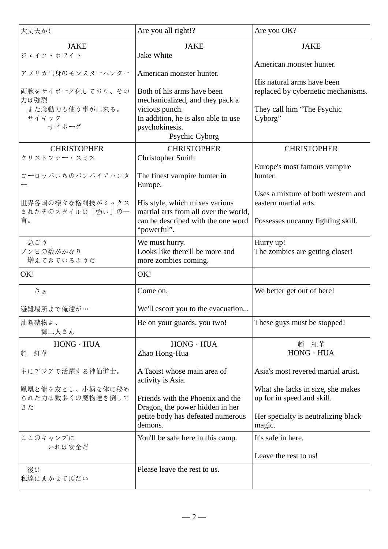| 大丈夫か!                                      | Are you all right!?                                                                                                          | Are you OK?                                                                                                      |
|--------------------------------------------|------------------------------------------------------------------------------------------------------------------------------|------------------------------------------------------------------------------------------------------------------|
| <b>JAKE</b><br>ジェイク・ホワイト                   | <b>JAKE</b><br>Jake White                                                                                                    | <b>JAKE</b>                                                                                                      |
| アメリカ出身のモンスターハンター                           | American monster hunter.                                                                                                     | American monster hunter.<br>His natural arms have been                                                           |
| 両腕をサイボーグ化しており、その<br>力は強烈<br>また念動力も使う事が出来る。 | Both of his arms have been<br>mechanicalized, and they pack a<br>vicious punch.                                              | replaced by cybernetic mechanisms.<br>They call him "The Psychic                                                 |
| サイキック<br>サイボーグ                             | In addition, he is also able to use<br>psychokinesis.<br><b>Psychic Cyborg</b>                                               | Cyborg"                                                                                                          |
| <b>CHRISTOPHER</b>                         | <b>CHRISTOPHER</b>                                                                                                           | <b>CHRISTOPHER</b>                                                                                               |
| クリストファー・スミス<br>ヨーロッパいちのバンパイアハンタ            | Christopher Smith<br>The finest vampire hunter in<br>Europe.                                                                 | Europe's most famous vampire<br>hunter.                                                                          |
| 世界各国の様々な格闘技がミックス<br>されたそのスタイルは「強い」の一<br>言。 | His style, which mixes various<br>martial arts from all over the world,<br>can be described with the one word<br>"powerful". | Uses a mixture of both western and<br>eastern martial arts.<br>Possesses uncanny fighting skill.                 |
| 急ごう<br>ゾンビの数がかなり<br>増えてきているようだ             | We must hurry.<br>Looks like there'll be more and<br>more zombies coming.                                                    | Hurry up!<br>The zombies are getting closer!                                                                     |
| OK!                                        | OK!                                                                                                                          |                                                                                                                  |
| さぁ                                         | Come on.                                                                                                                     | We better get out of here!                                                                                       |
| 避難場所まで俺達が…                                 | We'll escort you to the evacuation                                                                                           |                                                                                                                  |
| 油断禁物よ、<br>御二人さん                            | Be on your guards, you two!                                                                                                  | These guys must be stopped!                                                                                      |
| $HONG \cdot HUA$<br>紅華<br>趙                | $HONG \cdot HUA$<br>Zhao Hong-Hua                                                                                            | 趙 紅華<br>$HONG \cdot HUA$                                                                                         |
| 主にアジアで活躍する神仙道士。                            | A Taoist whose main area of<br>activity is Asia.                                                                             | Asia's most revered martial artist.                                                                              |
| 鳳凰と龍を友とし、小柄な体に秘め<br>られた力は数多くの魔物達を倒して<br>きた | Friends with the Phoenix and the<br>Dragon, the power hidden in her<br>petite body has defeated numerous<br>demons.          | What she lacks in size, she makes<br>up for in speed and skill.<br>Her specialty is neutralizing black<br>magic. |
| ここのキャンプに<br>いれば安全だ                         | You'll be safe here in this camp.                                                                                            | It's safe in here.<br>Leave the rest to us!                                                                      |
| 後は<br>私達にまかせて頂だい                           | Please leave the rest to us.                                                                                                 |                                                                                                                  |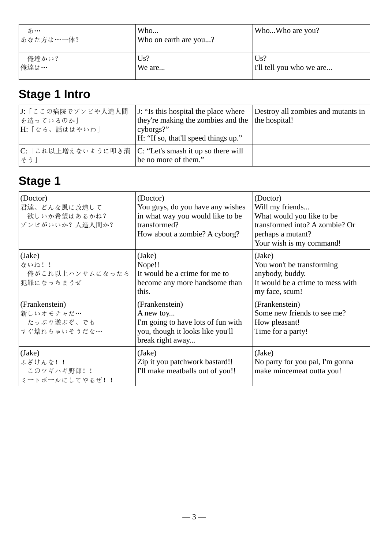| あ…<br>│あなた方は…一体? | Who<br>Who on earth are you? | WhoWho are you?          |
|------------------|------------------------------|--------------------------|
| 俺達かい?            | Us?                          | Us?                      |
| 俺達は…             | We are                       | I'll tell you who we are |

# **Stage 1 Intro**

| J: 「ここの病院でゾンビや人造人間<br> を造っているのか」<br> H: 「なら、話ははやいわ」            | J: "Is this hospital the place where<br>they're making the zombies and the the hospital!<br>cyborgs?"<br>H: "If so, that'll speed things up." | Destroy all zombies and mutants in |
|----------------------------------------------------------------|-----------------------------------------------------------------------------------------------------------------------------------------------|------------------------------------|
| C: 「これ以上増えないように叩き潰  C: "Let's smash it up so there will<br>そうー | be no more of them."                                                                                                                          |                                    |

| (Doctor)<br>君達、どんな風に改造して<br>欲しいか希望はあるかね?<br>ゾンビがいいか?人造人間か? | (Doctor)<br>You guys, do you have any wishes<br>in what way you would like to be<br>transformed?<br>How about a zombie? A cyborg? | (Doctor)<br>Will my friends<br>What would you like to be<br>transformed into? A zombie? Or<br>perhaps a mutant?<br>Your wish is my command! |
|------------------------------------------------------------|-----------------------------------------------------------------------------------------------------------------------------------|---------------------------------------------------------------------------------------------------------------------------------------------|
| (Jake)<br>ないね!!<br>俺がこれ以上ハンサムになったら<br>犯罪になっちまうぜ            | (Jake)<br>Nope!!<br>It would be a crime for me to<br>become any more handsome than<br>this.                                       | (Jake)<br>You won't be transforming<br>anybody, buddy.<br>It would be a crime to mess with<br>my face, scum!                                |
| (Frankenstein)<br>新しいオモチャだ…<br>たっぷり遊ぶぞ、でも<br>すぐ壊れちゃいそうだな…  | (Frankenstein)<br>A new toy<br>I'm going to have lots of fun with<br>you, though it looks like you'll<br>break right away         | (Frankenstein)<br>Some new friends to see me?<br>How pleasant!<br>Time for a party!                                                         |
| (Jake)<br>ふざけんな!!<br>このツギハギ野郎!!<br>ミートボールにしてやるぜ!!          | (Jake)<br>Zip it you patchwork bastard!!<br>I'll make meatballs out of you!!                                                      | (Jake)<br>No party for you pal, I'm gonna<br>make mincemeat outta you!                                                                      |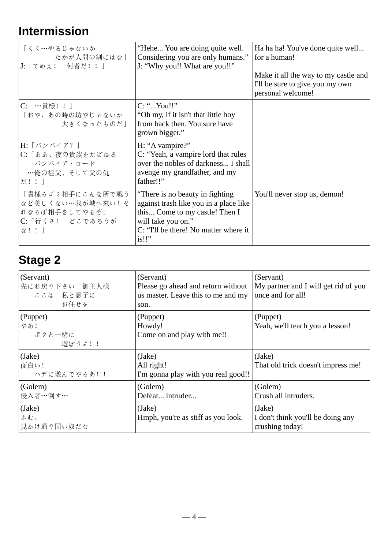# **Intermission**

| 「くく…やるじゃないか<br>たかが人間の割にはな」<br> J:「てめえ! 何者だ!!」                                     | "Hehe You are doing quite well.<br>Considering you are only humans."<br>J: "Why you!! What are you!!"                                                                                | Ha ha ha! You've done quite well<br>for a human!<br>Make it all the way to my castle and<br>I'll be sure to give you my own<br>personal welcome! |
|-----------------------------------------------------------------------------------|--------------------------------------------------------------------------------------------------------------------------------------------------------------------------------------|--------------------------------------------------------------------------------------------------------------------------------------------------|
| C: […貴様!!]<br>「おや、あの時の坊やじゃないか<br>大きくなったものだ                                        | $C:$ "You!!"<br>"Oh my, if it isn't that little boy"<br>from back then. You sure have<br>grown bigger."                                                                              |                                                                                                                                                  |
| H: 「 バン パ イ ア? 」<br>C: 「ああ、夜の貴族をたばねる<br>バンパイア・ロード<br>…俺の祖父、そして父の仇<br>だ!!」         | H: "A vampire?"<br>C: "Yeah, a vampire lord that rules<br>over the nobles of darkness I shall<br>avenge my grandfather, and my<br>father!!"                                          |                                                                                                                                                  |
| 「貴様らゴミ相手にこんな所で戦う<br>など美しくない…我が城へ来い!そ<br>れならば相手をしてやるぞ」<br>C: 「行くさ! どこであろうが<br>な!!」 | "There is no beauty in fighting"<br>against trash like you in a place like<br>this Come to my castle! Then I<br>will take you on."<br>C: "I'll be there! No matter where it<br>is!!" | You'll never stop us, demon!                                                                                                                     |

| (Servant)<br>先にお戻り下さい 御主人様<br>ここは 私と息子に<br>お任せを   | (Servant)<br>Please go ahead and return without<br>us master. Leave this to me and my<br>son. | (Servant)<br>My partner and I will get rid of you<br>once and for all! |
|---------------------------------------------------|-----------------------------------------------------------------------------------------------|------------------------------------------------------------------------|
| $\sqrt{\text{Puppet}}$<br>やあ!<br>ボクと一緒に<br>遊ぼうよ!! | (Puppet)<br>Howdy!<br>Come on and play with me!!                                              | (Puppet)<br>Yeah, we'll teach you a lesson!                            |
| (Jake)<br>面白い!<br>ハデに遊んでやらあ!!                     | (Jake)<br>All right!<br>I'm gonna play with you real good!!                                   | (Jake)<br>That old trick doesn't impress me!                           |
| (Golem)<br>侵入者…倒す…                                | (Golem)<br>Defeat intruder                                                                    | (Golem)<br>Crush all intruders.                                        |
| (Jake)<br>ふむ、<br>見かけ通り固い奴だな                       | (Jake)<br>Hmph, you're as stiff as you look.                                                  | (Jake)<br>I don't think you'll be doing any<br>crushing today!         |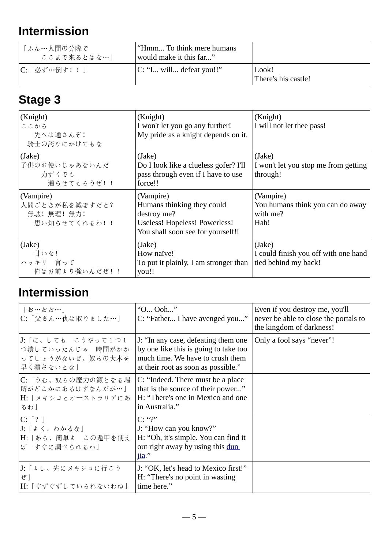# **Intermission**

| 「ふん…人間の分際で」<br>ここまで来るとはな…」 | ' "Hmm To think mere humans<br>would make it this far" |                              |
|----------------------------|--------------------------------------------------------|------------------------------|
| C:「必ず…倒す! !                | $ C: "I$ will defeat you!!"                            | Look!<br>There's his castle! |

# **Stage 3**

| (Knight)<br>ここから<br>先へは通さんぞ!<br>騎士の誇りにかけてもな                 | (Knight)<br>I won't let you go any further!<br>My pride as a knight depends on it.                                           | (Knight)<br>I will not let thee pass!                                  |
|-------------------------------------------------------------|------------------------------------------------------------------------------------------------------------------------------|------------------------------------------------------------------------|
| (Jake)<br>子供のお使いじゃあないんだ<br>力ずくでも<br>通らせてもらうぜ!!              | (Jake)<br>Do I look like a clueless gofer? I'll<br>pass through even if I have to use<br>force!!                             | (Jake)<br>I won't let you stop me from getting<br>through!             |
| (Vampire)<br> 人間ごときが私を滅ぼすだと?<br>無駄! 無理! 無力!<br>思い知らせてくれるわ!! | (Vampire)<br>Humans thinking they could<br>destroy me?<br>Useless! Hopeless! Powerless!<br>You shall soon see for yourself!! | (Vampire)<br>You humans think you can do away<br>with me?<br>Hah!      |
| (Jake)<br>甘いな!<br>ハッキリ 言って<br>俺はお前より強いんだぜ!!                 | (Jake)<br>How naïve!<br>To put it plainly, I am stronger than<br>you!!                                                       | (Jake)<br>I could finish you off with one hand<br>tied behind my back! |

#### **Intermission**

| 「お…おお…」<br> C:「父さん…仇は取りました…」                                               | "O Ooh"<br>C: "Father I have avenged you"                                                                                                               | Even if you destroy me, you'll<br>never be able to close the portals to<br>the kingdom of darkness! |
|----------------------------------------------------------------------------|---------------------------------------------------------------------------------------------------------------------------------------------------------|-----------------------------------------------------------------------------------------------------|
| J:「に、しても こうやって1つ1<br>つ潰していったんじゃ 時間がかか<br>ってしょうがないぜ。奴らの大本を<br>早く潰さないとな」     | J: "In any case, defeating them one<br>by one like this is going to take too<br>much time. We have to crush them<br>at their root as soon as possible." | Only a fool says "never"!                                                                           |
| C:「うむ、奴らの魔力の源となる場<br>所がどこかにあるはずなんだが…」<br>H: 「 メキシコとオーストラリアにあ<br>るわ」        | C: "Indeed. There must be a place<br>that is the source of their power"<br>H: "There's one in Mexico and one<br>in Australia."                          |                                                                                                     |
| $C: \lceil ? \rceil$<br> J:「よく、わかるな」<br> H:「あら、簡単よ この遁甲を使え<br>ば すぐに調べられるわ」 | C: "?"<br>J: "How can you know?"<br>H: "Oh, it's simple. You can find it<br>out right away by using this dun<br><u>jia</u> ."                           |                                                                                                     |
| J:「ょし、先にメキシコに行こう<br>ぜー<br> H:「ぐずぐずしていられないわね」                               | J: "OK, let's head to Mexico first!"<br>H: "There's no point in wasting<br>time here."                                                                  |                                                                                                     |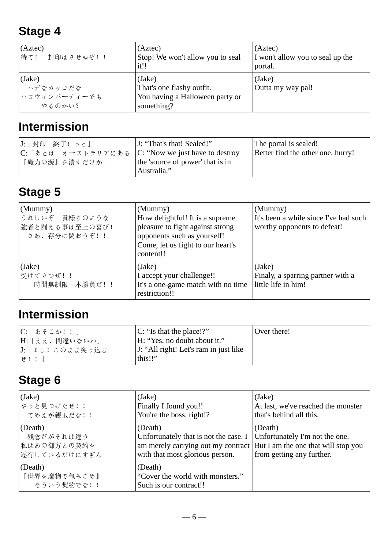### **Stage 4**

| (Aztec)                                      | (Aztec)                                                                              | (Aztec)                          |
|----------------------------------------------|--------------------------------------------------------------------------------------|----------------------------------|
| 待て!                                          | Stop! We won't allow you to seal                                                     | I won't allow you to seal up the |
| 封印はさせぬぞ!!                                    | it!!                                                                                 | portal.                          |
| (Jake)<br>ハデなカッコだな<br>ハロウィンパーティーでも<br>やるのかい? | (Jake)<br>That's one flashy outfit.<br>You having a Halloween party or<br>something? | (Jake)<br>Outta my way pal!      |

#### **Intermission**

| J: 「封印 終了! っと」<br> C:「あとは オーストラリアにある<br>『魔力の源』を潰すだけか」 | J: "That's that! Sealed!"<br>C: "Now we just have to destroy<br>the 'source of power' that is in | The portal is sealed!<br>Better find the other one, hurry! |
|-------------------------------------------------------|--------------------------------------------------------------------------------------------------|------------------------------------------------------------|
|                                                       | Australia."                                                                                      |                                                            |

### **Stage 5**

| (Mummy)<br>うれしいぞ 貴様らのような<br> 強者と闘える事は至上の喜び!<br>さあ、存分に闘おうぞ!! | (Mummy)<br>How delightful! It is a supreme<br>pleasure to fight against strong<br>opponents such as yourself!<br>Come, let us fight to our heart's<br>content!! | (Mummy)<br>It's been a while since I've had such<br>worthy opponents to defeat! |
|-------------------------------------------------------------|-----------------------------------------------------------------------------------------------------------------------------------------------------------------|---------------------------------------------------------------------------------|
| (Jake)<br>受けて立つぜ!!<br>時間無制限一本勝負だ!!                          | (Jake)<br>I accept your challenge!!<br>It's a one-game match with no time<br>restriction!!                                                                      | (Jake)<br>Finaly, a sparring partner with a<br>little life in him!              |

#### **Intermission**

| C:「あそこか! ! 」       | $ C:$ "Is that the place!?"           | Over there! |
|--------------------|---------------------------------------|-------------|
| H:「ええ、間違いないわ」      | H: "Yes, no doubt about it."          |             |
| J:「ょし!このまま突っ込む     | J: "All right! Let's ram in just like |             |
| $ $ + $\neq$ ! $ $ | this!!"                               |             |

| (Jake)                                | (Jake)                                                                | (Jake)                              |
|---------------------------------------|-----------------------------------------------------------------------|-------------------------------------|
| やっと見つけたぜ!!                            | Finally I found you!!                                                 | At last, we've reached the monster  |
| てめえが親玉だな!!                            | You're the boss, right!?                                              | that's behind all this.             |
| (Death)                               | (Death)                                                               | (Death)                             |
| 残念だがそれは違う                             | Unfortunately that is not the case. I                                 | Unfortunately I'm not the one.      |
| 私はあの御方との契約を                           | am merely carrying out my contract                                    | But I am the one that will stop you |
| 遂行しているだけにすぎん                          | with that most glorious person.                                       | from getting any further.           |
| (Death)<br>『世界を魔物で包みこめ』<br>そういう契約でな!! | (Death)<br>"Cover the world with monsters."<br>Such is our contract!! |                                     |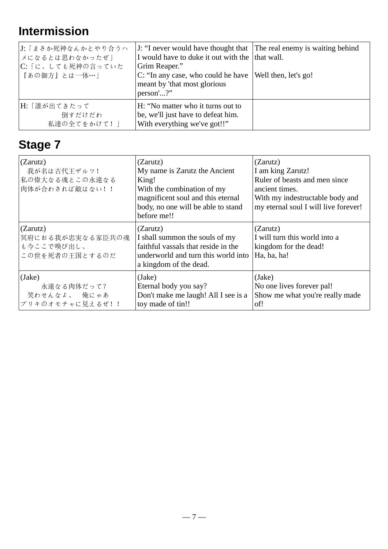# **Intermission**

| J:「まさか死神なんかとやり合うハ<br>メになるとは思わなかったぜ」<br>C: 「に、しても死神の言っていた<br>『あの御方』とは一体…」 | J: "I never would have thought that The real enemy is waiting behind<br>I would have to duke it out with the   that wall.<br>Grim Reaper."<br>C: "In any case, who could he have<br>meant by 'that most glorious<br>person'?" | Well then, let's go! |
|--------------------------------------------------------------------------|-------------------------------------------------------------------------------------------------------------------------------------------------------------------------------------------------------------------------------|----------------------|
| H: 「誰が出てきたって<br>倒すだけだわ<br>私達の全てをかけて!」                                    | H: "No matter who it turns out to<br>be, we'll just have to defeat him.<br>With everything we've got!!"                                                                                                                       |                      |

| (Zarutz)<br>我が名は古代王ザルツ!<br>私の偉大なる魂とこの永遠なる<br>肉体が合わされば敵はない!!  | (Zarutz)<br>My name is Zarutz the Ancient<br>King!<br>With the combination of my<br>magnificent soul and this eternal<br>body, no one will be able to stand<br>before me!! | (Zarutz)<br>I am king Zarutz!<br>Ruler of beasts and men since<br>ancient times.<br>With my indestructable body and<br>my eternal soul I will live forever! |
|--------------------------------------------------------------|----------------------------------------------------------------------------------------------------------------------------------------------------------------------------|-------------------------------------------------------------------------------------------------------------------------------------------------------------|
| (Zarutz)<br>冥府におる我が忠実なる家臣共の魂<br>も今ここで喚び出し、<br>この世を死者の王国とするのだ | (Zarutz)<br>I shall summon the souls of my<br>faithful vassals that reside in the<br>underworld and turn this world into<br>a kingdom of the dead.                         | (Zarutz)<br>I will turn this world into a<br>kingdom for the dead!<br>Ha, ha, ha!                                                                           |
| (Jake)<br>永遠なる肉体だって?<br>笑わせんなよ、 俺にゃあ<br>ブリキのオモチャに見えるぜ!!      | (Jake)<br>Eternal body you say?<br>Don't make me laugh! All I see is a<br>toy made of tin!!                                                                                | (Jake)<br>No one lives forever pal!<br>Show me what you're really made<br>of!                                                                               |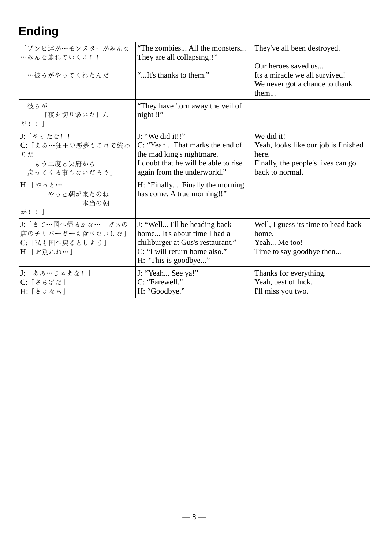# **Ending**

| 「ゾンビ達が…モンスターがみんな<br>…みんな崩れていくよ!!」<br>「…彼らがやってくれたんだ」                                   | "The zombies All the monsters<br>They are all collapsing!!"<br>"It's thanks to them."                                                                       | They've all been destroyed.<br>Our heroes saved us<br>Its a miracle we all survived!<br>We never got a chance to thank<br>them |
|---------------------------------------------------------------------------------------|-------------------------------------------------------------------------------------------------------------------------------------------------------------|--------------------------------------------------------------------------------------------------------------------------------|
| 「彼らが<br>『夜を切り裂いた』ん<br>だ!!                                                             | "They have 'torn away the veil of<br>night'!!"                                                                                                              |                                                                                                                                |
| J: 「やったな!!」<br>C: 「ああ…狂王の悪夢もこれで終わ<br>りだ<br>もう二度と冥府から<br>戻ってくる事もないだろう」                 | J: "We did it!!"<br>C: "Yeah That marks the end of<br>the mad king's nightmare.<br>I doubt that he will be able to rise<br>again from the underworld."      | We did it!<br>Yeah, looks like our job is finished<br>here.<br>Finally, the people's lives can go<br>back to normal.           |
| H: 「やっと…<br>やっと朝が来たのね<br>本当の朝<br>が!!                                                  | H: "Finally Finally the morning<br>has come. A true morning!!"                                                                                              |                                                                                                                                |
| J:「さて…国へ帰るかな… ガスの<br>店のチリバーガーも食べたいしな」<br>C:「私も国へ戻るとしょう」<br>H: 「お別れね…」                 | J: "Well I'll be heading back<br>home It's about time I had a<br>chiliburger at Gus's restaurant."<br>C: "I will return home also."<br>H: "This is goodbye" | Well, I guess its time to head back<br>home.<br>Yeah Me too!<br>Time to say goodbye then                                       |
| J: 「ああ…じゃあな!」<br>$C: \lceil \grave{\sigma} \hat{\sigma} \grave{\sigma}$<br>H: [ さょなら] | J: "Yeah See ya!"<br>C: "Farewell."<br>H: "Goodbye."                                                                                                        | Thanks for everything.<br>Yeah, best of luck.<br>I'll miss you two.                                                            |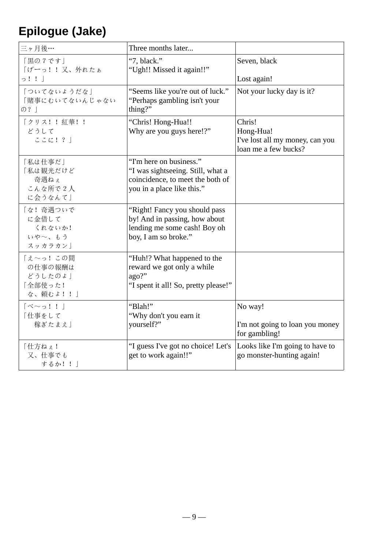# **Epilogue (Jake)**

| 三ヶ月後…                                                  | Three months later                                                                                                             |                                                                                |
|--------------------------------------------------------|--------------------------------------------------------------------------------------------------------------------------------|--------------------------------------------------------------------------------|
| 「黒の7です」<br>「げーっ!!又、外れたぁ<br>$\circ$ !!                  | "7, black."<br>"Ugh!! Missed it again!!"                                                                                       | Seven, black<br>Lost again!                                                    |
| 「ついてないようだな」<br>「賭事にむいてないんじゃない<br>の?                    | "Seems like you're out of luck."<br>"Perhaps gambling isn't your<br>thing?"                                                    | Not your lucky day is it?                                                      |
| 「クリス!!紅華!!<br>どうして<br>ここに!?」                           | "Chris! Hong-Hua!!<br>Why are you guys here!?"                                                                                 | Chris!<br>Hong-Hua!<br>I've lost all my money, can you<br>loan me a few bucks? |
| 「私は仕事だ」<br>「私は観光だけど<br>奇遇ねぇ<br>こんな所で2人<br>に会うなんて」      | "I'm here on business."<br>"I was sightseeing. Still, what a<br>coincidence, to meet the both of<br>you in a place like this." |                                                                                |
| 「な!奇遇ついで<br>に金借して<br>くれないか!<br>いや~、もう<br>スッカラカン」       | "Right! Fancy you should pass<br>by! And in passing, how about<br>lending me some cash! Boy oh<br>boy, I am so broke."         |                                                                                |
| 「え~っ! この間<br>の仕事の報酬は<br>どうしたのよ!<br>「全部使った!<br>な、頼むよ!!」 | "Huh!? What happened to the<br>reward we got only a while<br>ago?"<br>"I spent it all! So, pretty please!"                     |                                                                                |
| $\lceil \kappa \sim_2 ! ! \rceil$<br>「仕事をして<br>稼ぎたまえ」  | "Blah!"<br>"Why don't you earn it<br>yourself?"                                                                                | No way!<br>I'm not going to loan you money<br>for gambling!                    |
| 「仕方ねぇ!<br>又、仕事でも<br>するか!!」                             | "I guess I've got no choice! Let's<br>get to work again!!"                                                                     | Looks like I'm going to have to<br>go monster-hunting again!                   |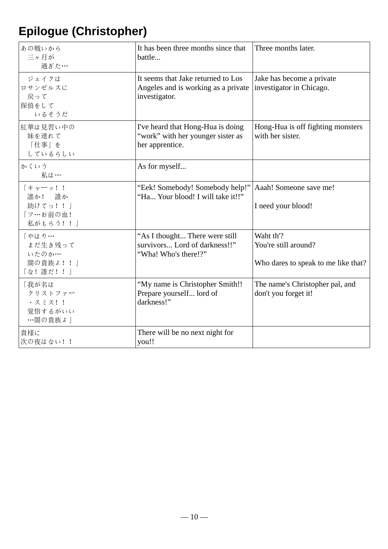# **Epilogue (Christopher)**

| あの戦いから<br>三ヶ月が<br>過ぎた…                               | It has been three months since that<br>battle                                              | Three months later.                                                      |
|------------------------------------------------------|--------------------------------------------------------------------------------------------|--------------------------------------------------------------------------|
| ジェイクは<br>ロサンゼルスに<br>戻って<br>探偵をして<br>いるそうだ            | It seems that Jake returned to Los<br>Angeles and is working as a private<br>investigator. | Jake has become a private<br>investigator in Chicago.                    |
| 紅華は見習い中の<br>妹を連れて<br>「仕事」を<br>しているらしい                | I've heard that Hong-Hua is doing<br>"work" with her younger sister as<br>her apprentice.  | Hong-Hua is off fighting monsters<br>with her sister.                    |
| かくいう<br>私は…                                          | As for myself                                                                              |                                                                          |
| 「キャーッ!!<br>誰か! 誰か<br>助けてっ!!」<br>「フ…お前の血!<br>私がもらう!!! | "Eek! Somebody! Somebody help!"<br>"Ha Your blood! I will take it!!"                       | Aaah! Someone save me!<br>I need your blood!                             |
| 「やはり…<br>まだ生き残って<br>いたのか…<br>闇の貴族よ!!」<br>「な!誰だ!!」    | "As I thought There were still<br>survivors Lord of darkness!!"<br>"Wha! Who's there!?"    | Waht th'?<br>You're still around?<br>Who dares to speak to me like that? |
| 「我が名は<br>クリストファー<br>・スミス!!<br>覚悟するがいい<br>…闇の貴族よ」     | "My name is Christopher Smith!!<br>Prepare yourself lord of<br>darkness!"                  | The name's Christopher pal, and<br>don't you forget it!                  |
| 貴様に<br>次の夜はない!!                                      | There will be no next night for<br>you!!                                                   |                                                                          |